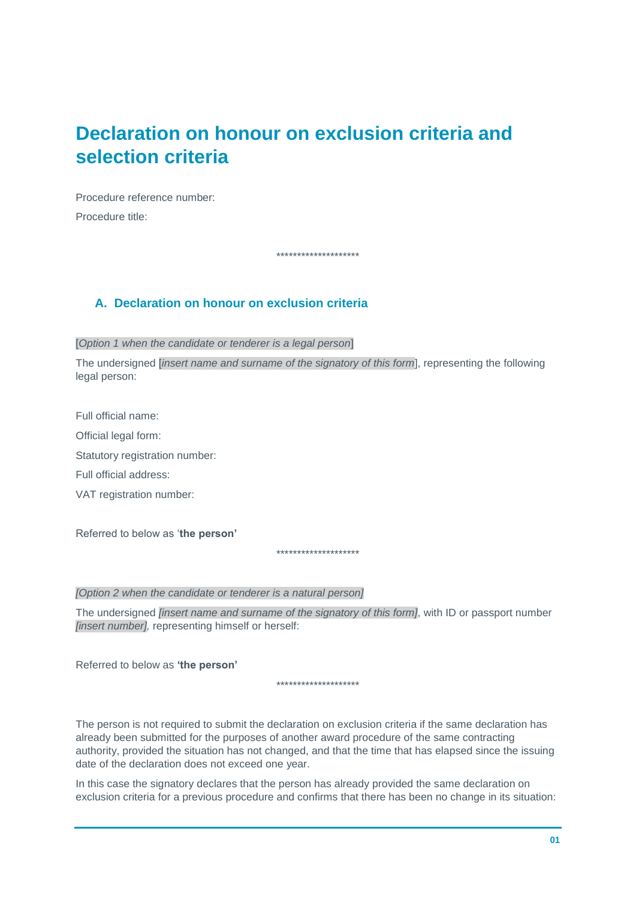# **Declaration on honour on exclusion criteria and selection criteria**

Procedure reference number: Procedure title:

\*\*\*\*\*\*\*\*\*\*\*\*\*\*\*\*\*\*\*\*

### **A. Declaration on honour on exclusion criteria**

[*Option 1 when the candidate or tenderer is a legal person*]

The undersigned [*insert name and surname of the signatory of this form*], representing the following legal person:

Full official name: Official legal form: Statutory registration number: Full official address: VAT registration number:

Referred to below as '**the person'**

\*\*\*\*\*\*\*\*\*\*\*\*\*\*\*\*\*\*\*\*

*[Option 2 when the candidate or tenderer is a natural person]*

The undersigned *[insert name and surname of the signatory of this form]*, with ID or passport number *[insert number],* representing himself or herself:

Referred to below as **'the person'**

\*\*\*\*\*\*\*\*\*\*\*\*\*\*\*\*\*\*\*\*

The person is not required to submit the declaration on exclusion criteria if the same declaration has already been submitted for the purposes of another award procedure of the same contracting authority, provided the situation has not changed, and that the time that has elapsed since the issuing date of the declaration does not exceed one year.

In this case the signatory declares that the person has already provided the same declaration on exclusion criteria for a previous procedure and confirms that there has been no change in its situation: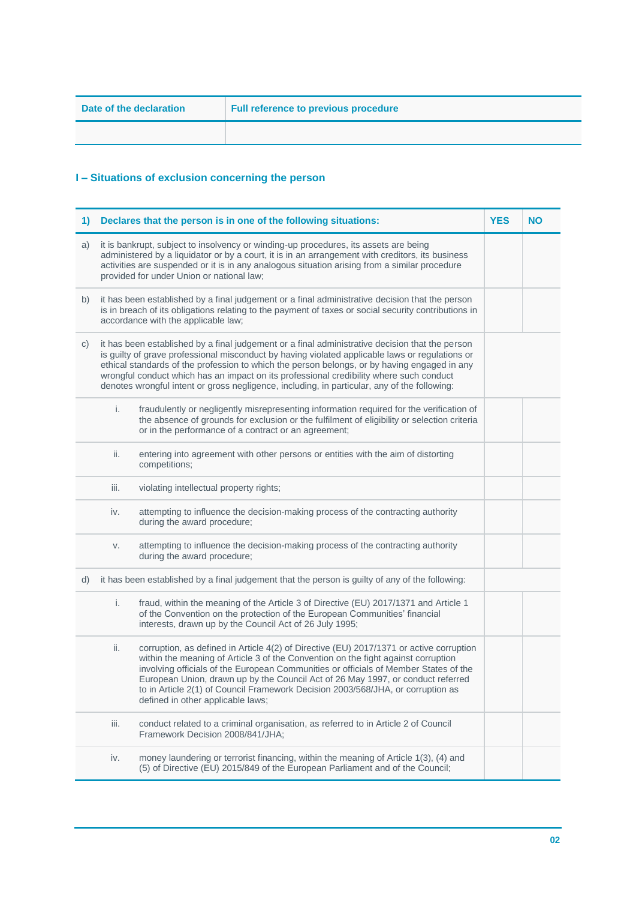# **I – Situations of exclusion concerning the person**

| 1) |      | Declares that the person is in one of the following situations:                                                                                                                                                                                                                                                                                                                                                                                                                               | <b>YES</b> | <b>NO</b> |
|----|------|-----------------------------------------------------------------------------------------------------------------------------------------------------------------------------------------------------------------------------------------------------------------------------------------------------------------------------------------------------------------------------------------------------------------------------------------------------------------------------------------------|------------|-----------|
| a) |      | it is bankrupt, subject to insolvency or winding-up procedures, its assets are being<br>administered by a liquidator or by a court, it is in an arrangement with creditors, its business<br>activities are suspended or it is in any analogous situation arising from a similar procedure<br>provided for under Union or national law;                                                                                                                                                        |            |           |
| b) |      | it has been established by a final judgement or a final administrative decision that the person<br>is in breach of its obligations relating to the payment of taxes or social security contributions in<br>accordance with the applicable law;                                                                                                                                                                                                                                                |            |           |
| C) |      | it has been established by a final judgement or a final administrative decision that the person<br>is guilty of grave professional misconduct by having violated applicable laws or regulations or<br>ethical standards of the profession to which the person belongs, or by having engaged in any<br>wrongful conduct which has an impact on its professional credibility where such conduct<br>denotes wrongful intent or gross negligence, including, in particular, any of the following: |            |           |
|    | i.   | fraudulently or negligently misrepresenting information required for the verification of<br>the absence of grounds for exclusion or the fulfilment of eligibility or selection criteria<br>or in the performance of a contract or an agreement;                                                                                                                                                                                                                                               |            |           |
|    | ii.  | entering into agreement with other persons or entities with the aim of distorting<br>competitions;                                                                                                                                                                                                                                                                                                                                                                                            |            |           |
|    | iii. | violating intellectual property rights;                                                                                                                                                                                                                                                                                                                                                                                                                                                       |            |           |
|    | iv.  | attempting to influence the decision-making process of the contracting authority<br>during the award procedure;                                                                                                                                                                                                                                                                                                                                                                               |            |           |
|    | V.   | attempting to influence the decision-making process of the contracting authority<br>during the award procedure;                                                                                                                                                                                                                                                                                                                                                                               |            |           |
| d) |      | it has been established by a final judgement that the person is guilty of any of the following:                                                                                                                                                                                                                                                                                                                                                                                               |            |           |
|    | i.   | fraud, within the meaning of the Article 3 of Directive (EU) 2017/1371 and Article 1<br>of the Convention on the protection of the European Communities' financial<br>interests, drawn up by the Council Act of 26 July 1995;                                                                                                                                                                                                                                                                 |            |           |
|    | ii.  | corruption, as defined in Article 4(2) of Directive (EU) 2017/1371 or active corruption<br>within the meaning of Article 3 of the Convention on the fight against corruption<br>involving officials of the European Communities or officials of Member States of the<br>European Union, drawn up by the Council Act of 26 May 1997, or conduct referred<br>to in Article 2(1) of Council Framework Decision 2003/568/JHA, or corruption as<br>defined in other applicable laws;               |            |           |
|    | iii. | conduct related to a criminal organisation, as referred to in Article 2 of Council<br>Framework Decision 2008/841/JHA;                                                                                                                                                                                                                                                                                                                                                                        |            |           |
|    | iv.  | money laundering or terrorist financing, within the meaning of Article 1(3), (4) and<br>(5) of Directive (EU) 2015/849 of the European Parliament and of the Council;                                                                                                                                                                                                                                                                                                                         |            |           |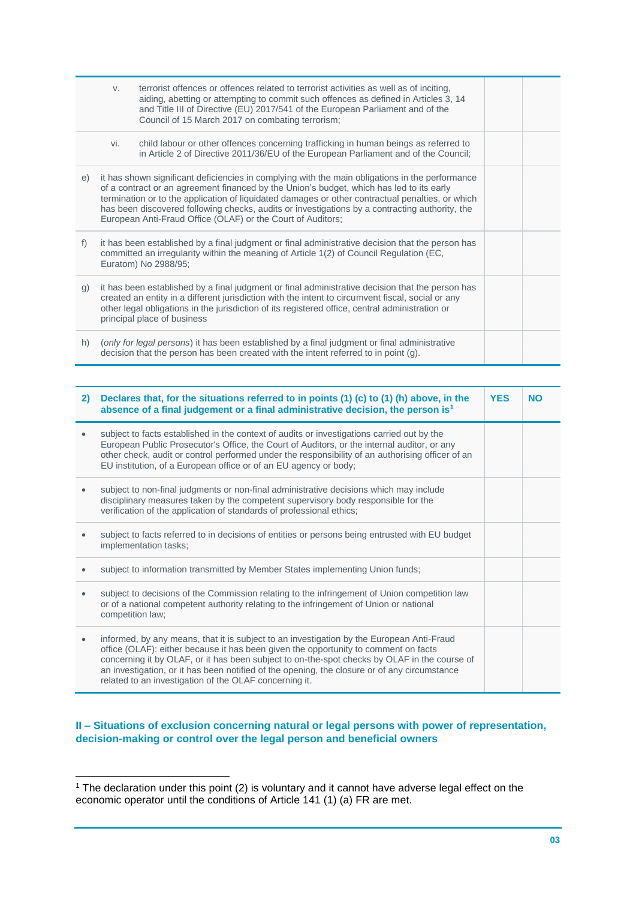|              | V.  | terrorist offences or offences related to terrorist activities as well as of inciting,<br>aiding, abetting or attempting to commit such offences as defined in Articles 3, 14<br>and Title III of Directive (EU) 2017/541 of the European Parliament and of the<br>Council of 15 March 2017 on combating terrorism;                                                                                                                                              |  |
|--------------|-----|------------------------------------------------------------------------------------------------------------------------------------------------------------------------------------------------------------------------------------------------------------------------------------------------------------------------------------------------------------------------------------------------------------------------------------------------------------------|--|
|              | vi. | child labour or other offences concerning trafficking in human beings as referred to<br>in Article 2 of Directive 2011/36/EU of the European Parliament and of the Council;                                                                                                                                                                                                                                                                                      |  |
| e)           |     | it has shown significant deficiencies in complying with the main obligations in the performance<br>of a contract or an agreement financed by the Union's budget, which has led to its early<br>termination or to the application of liquidated damages or other contractual penalties, or which<br>has been discovered following checks, audits or investigations by a contracting authority, the<br>European Anti-Fraud Office (OLAF) or the Court of Auditors; |  |
| f)           |     | it has been established by a final judgment or final administrative decision that the person has<br>committed an irregularity within the meaning of Article 1(2) of Council Regulation (EC,<br>Euratom) No 2988/95;                                                                                                                                                                                                                                              |  |
| $\mathsf{q}$ |     | it has been established by a final judgment or final administrative decision that the person has<br>created an entity in a different jurisdiction with the intent to circumvent fiscal, social or any<br>other legal obligations in the jurisdiction of its registered office, central administration or<br>principal place of business                                                                                                                          |  |
| h)           |     | (only for legal persons) it has been established by a final judgment or final administrative<br>decision that the person has been created with the intent referred to in point (g).                                                                                                                                                                                                                                                                              |  |

| 2) | Declares that, for the situations referred to in points (1) (c) to (1) (h) above, in the<br>absence of a final judgement or a final administrative decision, the person is <sup>1</sup>                                                                                                                                                                                                                                                    | <b>YES</b> | <b>NO</b> |
|----|--------------------------------------------------------------------------------------------------------------------------------------------------------------------------------------------------------------------------------------------------------------------------------------------------------------------------------------------------------------------------------------------------------------------------------------------|------------|-----------|
|    | subject to facts established in the context of audits or investigations carried out by the<br>European Public Prosecutor's Office, the Court of Auditors, or the internal auditor, or any<br>other check, audit or control performed under the responsibility of an authorising officer of an<br>EU institution, of a European office or of an EU agency or body;                                                                          |            |           |
|    | subject to non-final judgments or non-final administrative decisions which may include<br>disciplinary measures taken by the competent supervisory body responsible for the<br>verification of the application of standards of professional ethics;                                                                                                                                                                                        |            |           |
|    | subject to facts referred to in decisions of entities or persons being entrusted with EU budget<br>implementation tasks;                                                                                                                                                                                                                                                                                                                   |            |           |
|    | subject to information transmitted by Member States implementing Union funds;                                                                                                                                                                                                                                                                                                                                                              |            |           |
|    | subject to decisions of the Commission relating to the infringement of Union competition law<br>or of a national competent authority relating to the infringement of Union or national<br>competition law;                                                                                                                                                                                                                                 |            |           |
| ٠  | informed, by any means, that it is subject to an investigation by the European Anti-Fraud<br>office (OLAF): either because it has been given the opportunity to comment on facts<br>concerning it by OLAF, or it has been subject to on-the-spot checks by OLAF in the course of<br>an investigation, or it has been notified of the opening, the closure or of any circumstance<br>related to an investigation of the OLAF concerning it. |            |           |

### **II – Situations of exclusion concerning natural or legal persons with power of representation, decision-making or control over the legal person and beneficial owners**

l

<sup>1</sup> The declaration under this point (2) is voluntary and it cannot have adverse legal effect on the economic operator until the conditions of Article 141 (1) (a) FR are met.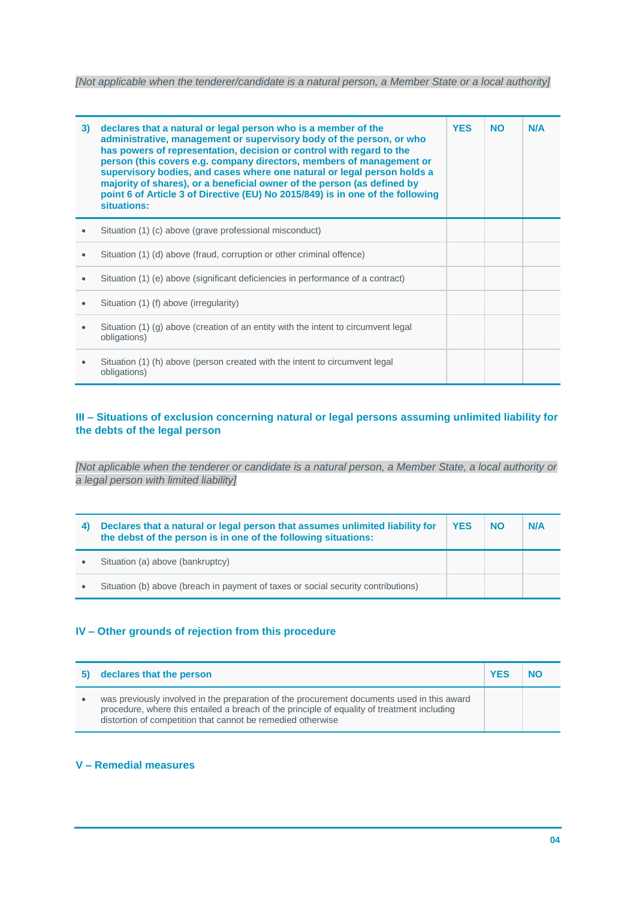*[Not applicable when the tenderer/candidate is a natural person, a Member State or a local authority]*

| 3)        | declares that a natural or legal person who is a member of the<br>administrative, management or supervisory body of the person, or who<br>has powers of representation, decision or control with regard to the<br>person (this covers e.g. company directors, members of management or<br>supervisory bodies, and cases where one natural or legal person holds a<br>majority of shares), or a beneficial owner of the person (as defined by<br>point 6 of Article 3 of Directive (EU) No 2015/849) is in one of the following<br>situations: | <b>YES</b> | <b>NO</b> | N/A |
|-----------|-----------------------------------------------------------------------------------------------------------------------------------------------------------------------------------------------------------------------------------------------------------------------------------------------------------------------------------------------------------------------------------------------------------------------------------------------------------------------------------------------------------------------------------------------|------------|-----------|-----|
|           | Situation (1) (c) above (grave professional misconduct)                                                                                                                                                                                                                                                                                                                                                                                                                                                                                       |            |           |     |
| $\bullet$ | Situation (1) (d) above (fraud, corruption or other criminal offence)                                                                                                                                                                                                                                                                                                                                                                                                                                                                         |            |           |     |
|           | Situation (1) (e) above (significant deficiencies in performance of a contract)                                                                                                                                                                                                                                                                                                                                                                                                                                                               |            |           |     |
|           | Situation (1) (f) above (irregularity)                                                                                                                                                                                                                                                                                                                                                                                                                                                                                                        |            |           |     |
|           | Situation (1) (g) above (creation of an entity with the intent to circumvent legal<br>obligations)                                                                                                                                                                                                                                                                                                                                                                                                                                            |            |           |     |
| $\bullet$ | Situation (1) (h) above (person created with the intent to circumvent legal<br>obligations)                                                                                                                                                                                                                                                                                                                                                                                                                                                   |            |           |     |

### **III – Situations of exclusion concerning natural or legal persons assuming unlimited liability for the debts of the legal person**

*[Not aplicable when the tenderer or candidate is a natural person, a Member State, a local authority or a legal person with limited liability]*

| Declares that a natural or legal person that assumes unlimited liability for<br>the debst of the person is in one of the following situations: | <b>YES</b> | <b>NO</b> | N/A |
|------------------------------------------------------------------------------------------------------------------------------------------------|------------|-----------|-----|
| Situation (a) above (bankruptcy)                                                                                                               |            |           |     |
| Situation (b) above (breach in payment of taxes or social security contributions)                                                              |            |           |     |

### **IV – Other grounds of rejection from this procedure**

| declares that the person                                                                                                                                                                                                                                 | <b>YFS</b> |  |
|----------------------------------------------------------------------------------------------------------------------------------------------------------------------------------------------------------------------------------------------------------|------------|--|
| was previously involved in the preparation of the procurement documents used in this award<br>procedure, where this entailed a breach of the principle of equality of treatment including<br>distortion of competition that cannot be remedied otherwise |            |  |

### **V – Remedial measures**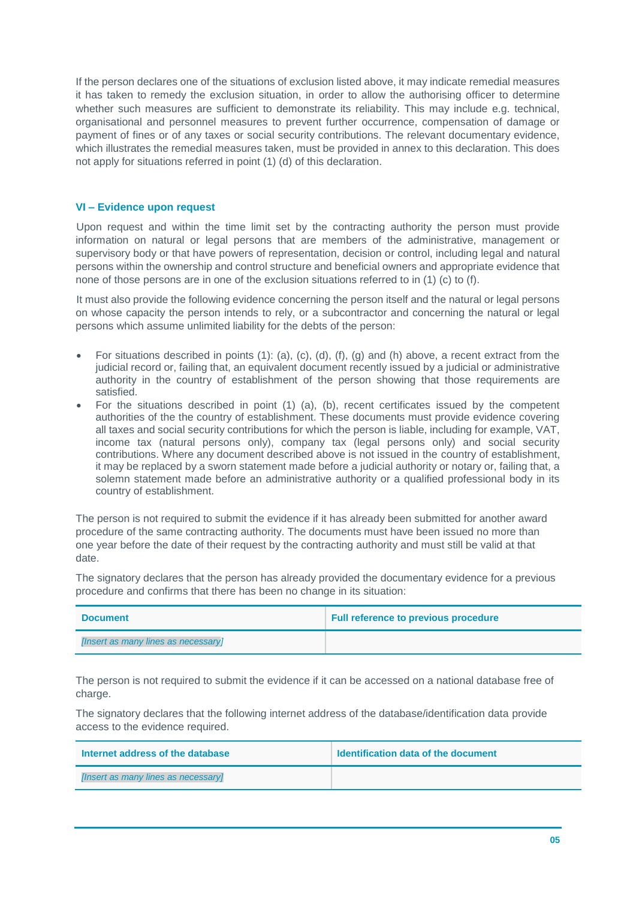If the person declares one of the situations of exclusion listed above, it may indicate remedial measures it has taken to remedy the exclusion situation, in order to allow the authorising officer to determine whether such measures are sufficient to demonstrate its reliability. This may include e.g. technical, organisational and personnel measures to prevent further occurrence, compensation of damage or payment of fines or of any taxes or social security contributions. The relevant documentary evidence, which illustrates the remedial measures taken, must be provided in annex to this declaration. This does not apply for situations referred in point (1) (d) of this declaration.

#### **VI – Evidence upon request**

Upon request and within the time limit set by the contracting authority the person must provide information on natural or legal persons that are members of the administrative, management or supervisory body or that have powers of representation, decision or control, including legal and natural persons within the ownership and control structure and beneficial owners and appropriate evidence that none of those persons are in one of the exclusion situations referred to in (1) (c) to (f).

It must also provide the following evidence concerning the person itself and the natural or legal persons on whose capacity the person intends to rely, or a subcontractor and concerning the natural or legal persons which assume unlimited liability for the debts of the person:

- For situations described in points (1): (a), (c), (d), (f), (g) and (h) above, a recent extract from the judicial record or, failing that, an equivalent document recently issued by a judicial or administrative authority in the country of establishment of the person showing that those requirements are satisfied.
- For the situations described in point (1) (a), (b), recent certificates issued by the competent authorities of the the country of establishment. These documents must provide evidence covering all taxes and social security contributions for which the person is liable, including for example, VAT, income tax (natural persons only), company tax (legal persons only) and social security contributions. Where any document described above is not issued in the country of establishment, it may be replaced by a sworn statement made before a judicial authority or notary or, failing that, a solemn statement made before an administrative authority or a qualified professional body in its country of establishment.

The person is not required to submit the evidence if it has already been submitted for another award procedure of the same contracting authority. The documents must have been issued no more than one year before the date of their request by the contracting authority and must still be valid at that date.

The signatory declares that the person has already provided the documentary evidence for a previous procedure and confirms that there has been no change in its situation:

| <b>Document</b>                     | <b>Full reference to previous procedure</b> |
|-------------------------------------|---------------------------------------------|
| [Insert as many lines as necessary] |                                             |

The person is not required to submit the evidence if it can be accessed on a national database free of charge.

The signatory declares that the following internet address of the database/identification data provide access to the evidence required.

| Internet address of the database    | Identification data of the document |
|-------------------------------------|-------------------------------------|
| [Insert as many lines as necessary] |                                     |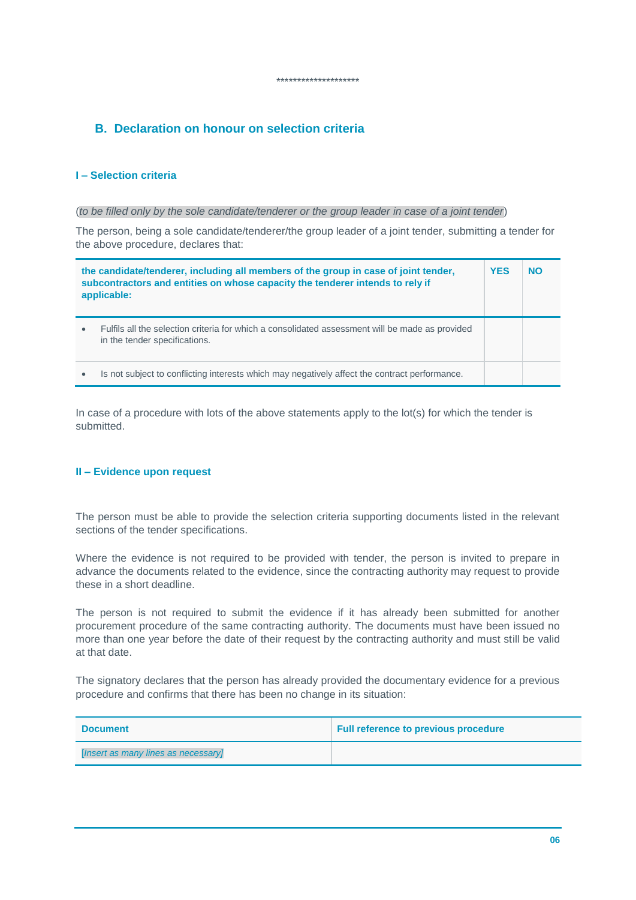# **B. Declaration on honour on selection criteria**

### **I – Selection criteria**

#### (*to be filled only by the sole candidate/tenderer or the group leader in case of a joint tender*)

The person, being a sole candidate/tenderer/the group leader of a joint tender, submitting a tender for the above procedure, declares that:

\*\*\*\*\*\*\*\*\*\*\*\*\*\*\*\*\*\*\*\*

|           | the candidate/tenderer, including all members of the group in case of joint tender,<br>subcontractors and entities on whose capacity the tenderer intends to rely if<br>applicable: | <b>YES</b> | <b>NO</b> |
|-----------|-------------------------------------------------------------------------------------------------------------------------------------------------------------------------------------|------------|-----------|
| $\bullet$ | Fulfils all the selection criteria for which a consolidated assessment will be made as provided<br>in the tender specifications.                                                    |            |           |
| ٠         | Is not subject to conflicting interests which may negatively affect the contract performance.                                                                                       |            |           |

In case of a procedure with lots of the above statements apply to the lot(s) for which the tender is submitted.

### **II – Evidence upon request**

The person must be able to provide the selection criteria supporting documents listed in the relevant sections of the tender specifications.

Where the evidence is not required to be provided with tender, the person is invited to prepare in advance the documents related to the evidence, since the contracting authority may request to provide these in a short deadline.

The person is not required to submit the evidence if it has already been submitted for another procurement procedure of the same contracting authority. The documents must have been issued no more than one year before the date of their request by the contracting authority and must still be valid at that date.

The signatory declares that the person has already provided the documentary evidence for a previous procedure and confirms that there has been no change in its situation:

| <b>Document</b>                     | <b>Full reference to previous procedure</b> |
|-------------------------------------|---------------------------------------------|
| [Insert as many lines as necessary] |                                             |